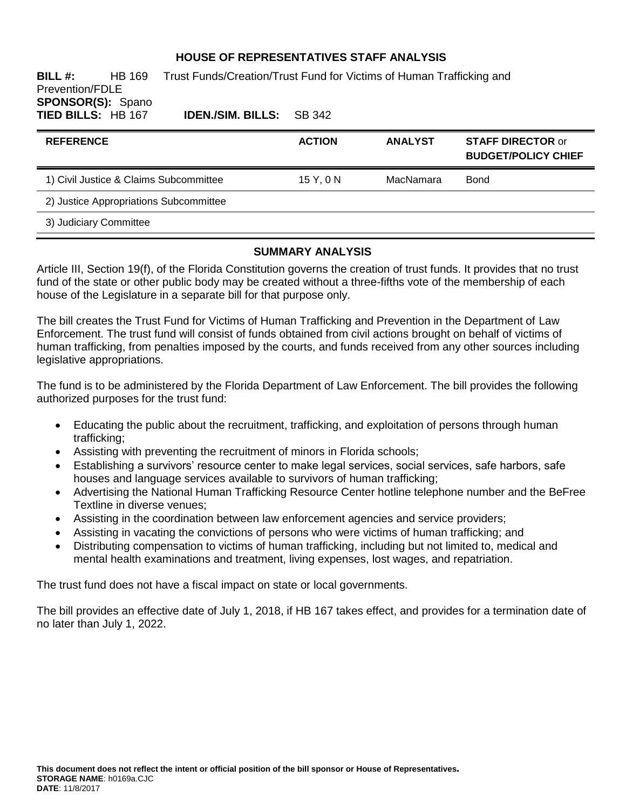### **HOUSE OF REPRESENTATIVES STAFF ANALYSIS**

**BILL #:** HB 169 Trust Funds/Creation/Trust Fund for Victims of Human Trafficking and Prevention/FDLE **SPONSOR(S):** Spano **TIED BILLS:** HB 167 **IDEN./SIM. BILLS:** SB 342

| <b>REFERENCE</b>                       | <b>ACTION</b> | <b>ANALYST</b> | <b>STAFF DIRECTOR or</b><br><b>BUDGET/POLICY CHIEF</b> |
|----------------------------------------|---------------|----------------|--------------------------------------------------------|
| 1) Civil Justice & Claims Subcommittee | 15Y.0N        | MacNamara      | Bond                                                   |
| 2) Justice Appropriations Subcommittee |               |                |                                                        |
| 3) Judiciary Committee                 |               |                |                                                        |

#### **SUMMARY ANALYSIS**

Article III, Section 19(f), of the Florida Constitution governs the creation of trust funds. It provides that no trust fund of the state or other public body may be created without a three-fifths vote of the membership of each house of the Legislature in a separate bill for that purpose only.

The bill creates the Trust Fund for Victims of Human Trafficking and Prevention in the Department of Law Enforcement. The trust fund will consist of funds obtained from civil actions brought on behalf of victims of human trafficking, from penalties imposed by the courts, and funds received from any other sources including legislative appropriations.

The fund is to be administered by the Florida Department of Law Enforcement. The bill provides the following authorized purposes for the trust fund:

- Educating the public about the recruitment, trafficking, and exploitation of persons through human trafficking;
- Assisting with preventing the recruitment of minors in Florida schools;
- Establishing a survivors' resource center to make legal services, social services, safe harbors, safe houses and language services available to survivors of human trafficking;
- Advertising the National Human Trafficking Resource Center hotline telephone number and the BeFree Textline in diverse venues;
- Assisting in the coordination between law enforcement agencies and service providers;
- Assisting in vacating the convictions of persons who were victims of human trafficking; and
- Distributing compensation to victims of human trafficking, including but not limited to, medical and mental health examinations and treatment, living expenses, lost wages, and repatriation.

The trust fund does not have a fiscal impact on state or local governments.

The bill provides an effective date of July 1, 2018, if HB 167 takes effect, and provides for a termination date of no later than July 1, 2022.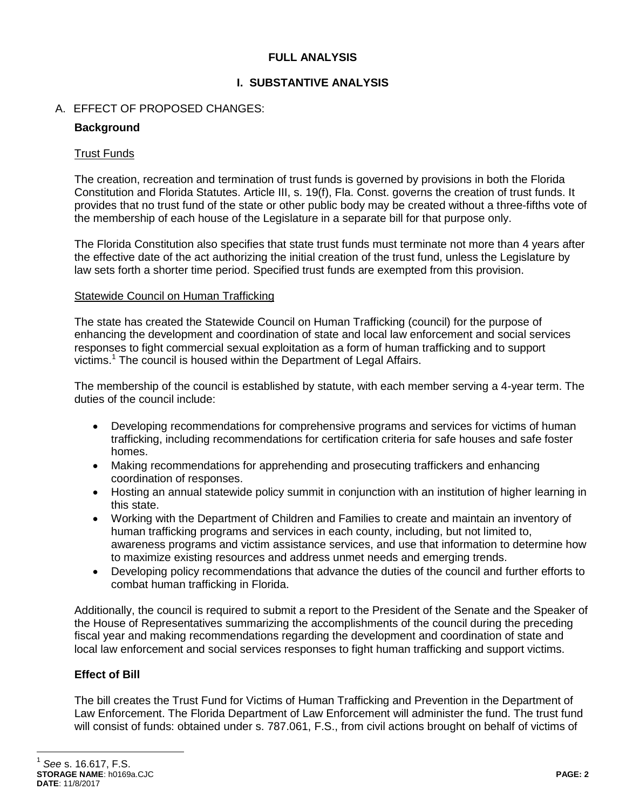## **FULL ANALYSIS**

## **I. SUBSTANTIVE ANALYSIS**

## A. EFFECT OF PROPOSED CHANGES:

## **Background**

## Trust Funds

The creation, recreation and termination of trust funds is governed by provisions in both the Florida Constitution and Florida Statutes. Article III, s. 19(f), Fla. Const. governs the creation of trust funds. It provides that no trust fund of the state or other public body may be created without a three-fifths vote of the membership of each house of the Legislature in a separate bill for that purpose only.

The Florida Constitution also specifies that state trust funds must terminate not more than 4 years after the effective date of the act authorizing the initial creation of the trust fund, unless the Legislature by law sets forth a shorter time period. Specified trust funds are exempted from this provision.

### Statewide Council on Human Trafficking

The state has created the Statewide Council on Human Trafficking (council) for the purpose of enhancing the development and coordination of state and local law enforcement and social services responses to fight commercial sexual exploitation as a form of human trafficking and to support victims.<sup>1</sup> The council is housed within the Department of Legal Affairs.

The membership of the council is established by statute, with each member serving a 4-year term. The duties of the council include:

- Developing recommendations for comprehensive programs and services for victims of human trafficking, including recommendations for certification criteria for safe houses and safe foster homes.
- Making recommendations for apprehending and prosecuting traffickers and enhancing coordination of responses.
- Hosting an annual statewide policy summit in conjunction with an institution of higher learning in this state.
- Working with the Department of Children and Families to create and maintain an inventory of human trafficking programs and services in each county, including, but not limited to, awareness programs and victim assistance services, and use that information to determine how to maximize existing resources and address unmet needs and emerging trends.
- Developing policy recommendations that advance the duties of the council and further efforts to combat human trafficking in Florida.

Additionally, the council is required to submit a report to the President of the Senate and the Speaker of the House of Representatives summarizing the accomplishments of the council during the preceding fiscal year and making recommendations regarding the development and coordination of state and local law enforcement and social services responses to fight human trafficking and support victims.

# **Effect of Bill**

The bill creates the Trust Fund for Victims of Human Trafficking and Prevention in the Department of Law Enforcement. The Florida Department of Law Enforcement will administer the fund. The trust fund will consist of funds: obtained under s. 787.061, F.S., from civil actions brought on behalf of victims of

 $\overline{a}$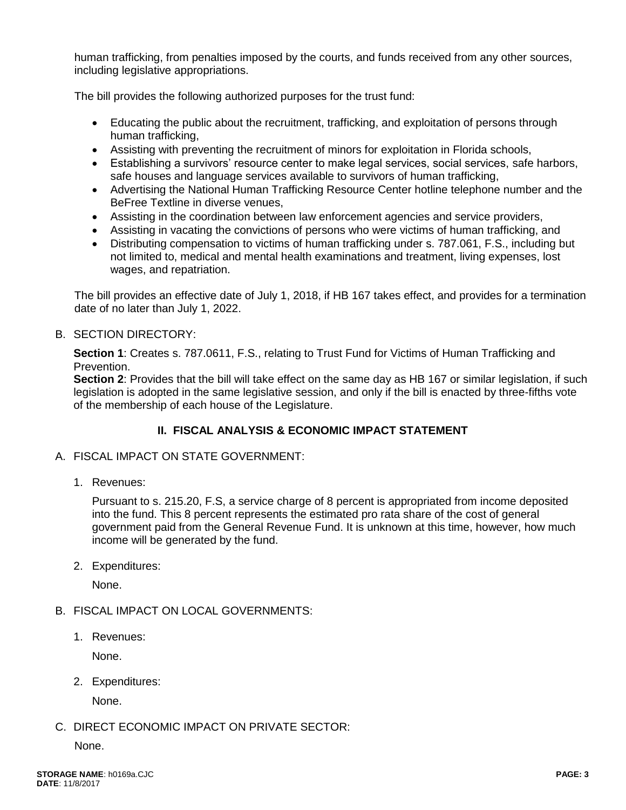human trafficking, from penalties imposed by the courts, and funds received from any other sources, including legislative appropriations.

The bill provides the following authorized purposes for the trust fund:

- Educating the public about the recruitment, trafficking, and exploitation of persons through human trafficking,
- Assisting with preventing the recruitment of minors for exploitation in Florida schools,
- Establishing a survivors' resource center to make legal services, social services, safe harbors, safe houses and language services available to survivors of human trafficking,
- Advertising the National Human Trafficking Resource Center hotline telephone number and the BeFree Textline in diverse venues,
- Assisting in the coordination between law enforcement agencies and service providers,
- Assisting in vacating the convictions of persons who were victims of human trafficking, and
- Distributing compensation to victims of human trafficking under s. 787.061, F.S., including but not limited to, medical and mental health examinations and treatment, living expenses, lost wages, and repatriation.

The bill provides an effective date of July 1, 2018, if HB 167 takes effect, and provides for a termination date of no later than July 1, 2022.

### B. SECTION DIRECTORY:

**Section 1**: Creates s. 787.0611, F.S., relating to Trust Fund for Victims of Human Trafficking and Prevention.

**Section 2**: Provides that the bill will take effect on the same day as HB 167 or similar legislation, if such legislation is adopted in the same legislative session, and only if the bill is enacted by three-fifths vote of the membership of each house of the Legislature.

# **II. FISCAL ANALYSIS & ECONOMIC IMPACT STATEMENT**

#### A. FISCAL IMPACT ON STATE GOVERNMENT:

1. Revenues:

Pursuant to s. 215.20, F.S, a service charge of 8 percent is appropriated from income deposited into the fund. This 8 percent represents the estimated pro rata share of the cost of general government paid from the General Revenue Fund. It is unknown at this time, however, how much income will be generated by the fund.

2. Expenditures:

None.

## B. FISCAL IMPACT ON LOCAL GOVERNMENTS:

1. Revenues:

None.

2. Expenditures:

None.

## C. DIRECT ECONOMIC IMPACT ON PRIVATE SECTOR:

None.